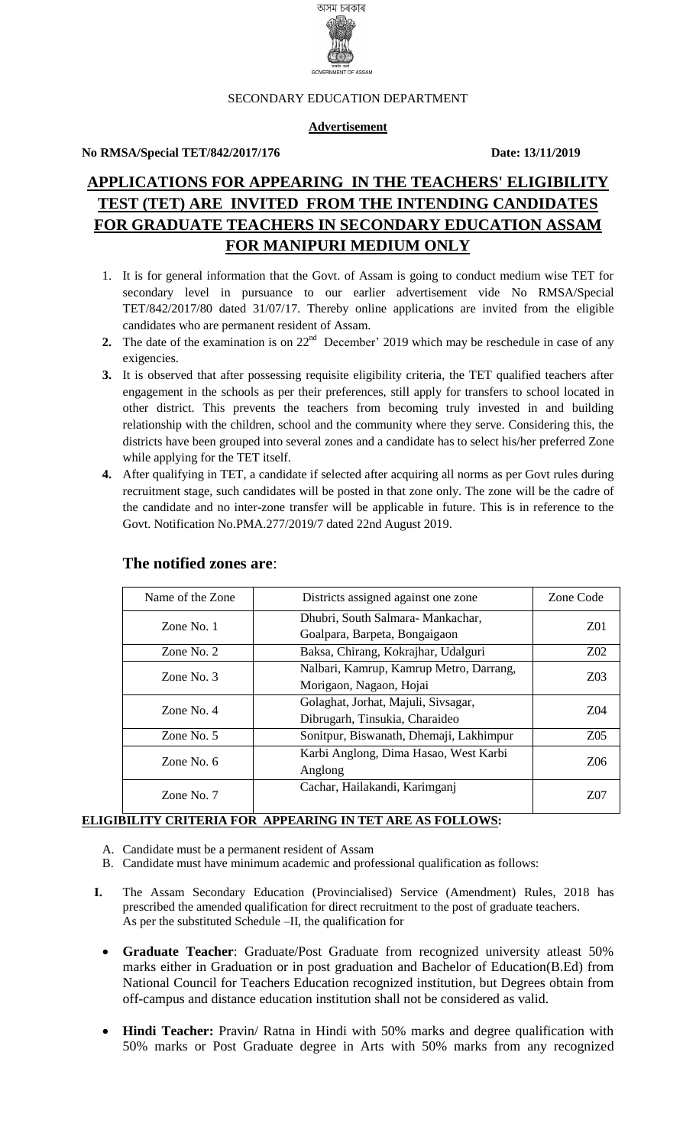

#### SECONDARY EDUCATION DEPARTMENT

### **Advertisement**

### **No RMSA/Special TET/842/2017/176 Date: 13/11/2019**

# **APPLICATIONS FOR APPEARING IN THE TEACHERS' ELIGIBILITY TEST (TET) ARE INVITED FROM THE INTENDING CANDIDATES FOR GRADUATE TEACHERS IN SECONDARY EDUCATION ASSAM FOR MANIPURI MEDIUM ONLY**

- 1. It is for general information that the Govt. of Assam is going to conduct medium wise TET for secondary level in pursuance to our earlier advertisement vide No RMSA/Special TET/842/2017/80 dated 31/07/17. Thereby online applications are invited from the eligible candidates who are permanent resident of Assam.
- **2.** The date of the examination is on  $22<sup>nd</sup>$  December' 2019 which may be reschedule in case of any exigencies.
- **3.** It is observed that after possessing requisite eligibility criteria, the TET qualified teachers after engagement in the schools as per their preferences, still apply for transfers to school located in other district. This prevents the teachers from becoming truly invested in and building relationship with the children, school and the community where they serve. Considering this, the districts have been grouped into several zones and a candidate has to select his/her preferred Zone while applying for the TET itself.
- **4.** After qualifying in TET, a candidate if selected after acquiring all norms as per Govt rules during recruitment stage, such candidates will be posted in that zone only. The zone will be the cadre of the candidate and no inter-zone transfer will be applicable in future. This is in reference to the Govt. Notification No.PMA.277/2019/7 dated 22nd August 2019.

| Name of the Zone | Districts assigned against one zone     | Zone Code       |  |  |
|------------------|-----------------------------------------|-----------------|--|--|
| Zone No. $1$     | Dhubri, South Salmara-Mankachar,        | Z <sub>01</sub> |  |  |
|                  | Goalpara, Barpeta, Bongaigaon           |                 |  |  |
| Zone No. $2$     | Baksa, Chirang, Kokrajhar, Udalguri     | Z02             |  |  |
| Zone No. $3$     | Nalbari, Kamrup, Kamrup Metro, Darrang, | Z03             |  |  |
|                  | Morigaon, Nagaon, Hojai                 |                 |  |  |
| Zone No. $4$     | Golaghat, Jorhat, Majuli, Sivsagar,     | Z04             |  |  |
|                  | Dibrugarh, Tinsukia, Charaideo          |                 |  |  |
| Zone No. $5$     | Sonitpur, Biswanath, Dhemaji, Lakhimpur | Z <sub>05</sub> |  |  |
| Zone No. 6       | Karbi Anglong, Dima Hasao, West Karbi   | Z06             |  |  |
|                  | Anglong                                 |                 |  |  |
| Zone No. 7       | Cachar, Hailakandi, Karimganj           | Z07             |  |  |

### **The notified zones are**:

### **ELIGIBILITY CRITERIA FOR APPEARING IN TET ARE AS FOLLOWS:**

- A. Candidate must be a permanent resident of Assam
- B. Candidate must have minimum academic and professional qualification as follows:
- **I.** The Assam Secondary Education (Provincialised) Service (Amendment) Rules, 2018 has prescribed the amended qualification for direct recruitment to the post of graduate teachers. As per the substituted Schedule –II, the qualification for
	- **Graduate Teacher**: Graduate/Post Graduate from recognized university atleast 50% marks either in Graduation or in post graduation and Bachelor of Education(B.Ed) from National Council for Teachers Education recognized institution, but Degrees obtain from off-campus and distance education institution shall not be considered as valid.
	- **Hindi Teacher:** Pravin/ Ratna in Hindi with 50% marks and degree qualification with 50% marks or Post Graduate degree in Arts with 50% marks from any recognized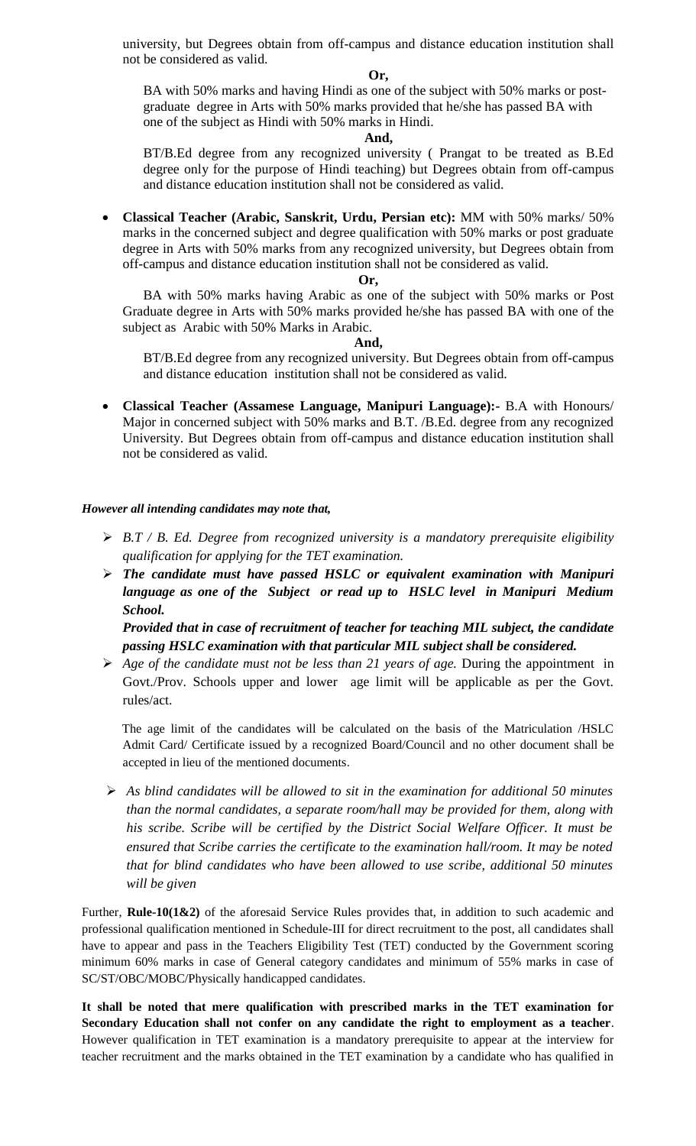university, but Degrees obtain from off-campus and distance education institution shall not be considered as valid.

#### **Or,**

BA with 50% marks and having Hindi as one of the subject with 50% marks or postgraduate degree in Arts with 50% marks provided that he/she has passed BA with one of the subject as Hindi with 50% marks in Hindi.

#### **And,**

BT/B.Ed degree from any recognized university ( Prangat to be treated as B.Ed degree only for the purpose of Hindi teaching) but Degrees obtain from off-campus and distance education institution shall not be considered as valid.

 **Classical Teacher (Arabic, Sanskrit, Urdu, Persian etc):** MM with 50% marks/ 50% marks in the concerned subject and degree qualification with 50% marks or post graduate degree in Arts with 50% marks from any recognized university, but Degrees obtain from off-campus and distance education institution shall not be considered as valid.

#### **Or,**

BA with 50% marks having Arabic as one of the subject with 50% marks or Post Graduate degree in Arts with 50% marks provided he/she has passed BA with one of the subject as Arabic with 50% Marks in Arabic.

### **And,**

BT/B.Ed degree from any recognized university. But Degrees obtain from off-campus and distance education institution shall not be considered as valid.

 **Classical Teacher (Assamese Language, Manipuri Language):-** B.A with Honours/ Major in concerned subject with 50% marks and B.T. /B.Ed. degree from any recognized University. But Degrees obtain from off-campus and distance education institution shall not be considered as valid.

### *However all intending candidates may note that,*

- *B.T / B. Ed. Degree from recognized university is a mandatory prerequisite eligibility qualification for applying for the TET examination.*
- *The candidate must have passed HSLC or equivalent examination with Manipuri language as one of the Subject or read up to HSLC level in Manipuri Medium School.*

*Provided that in case of recruitment of teacher for teaching MIL subject, the candidate passing HSLC examination with that particular MIL subject shall be considered.* 

 *Age of the candidate must not be less than 21 years of age.* During the appointment in Govt./Prov. Schools upper and lower age limit will be applicable as per the Govt. rules/act.

The age limit of the candidates will be calculated on the basis of the Matriculation /HSLC Admit Card/ Certificate issued by a recognized Board/Council and no other document shall be accepted in lieu of the mentioned documents.

 *As blind candidates will be allowed to sit in the examination for additional 50 minutes than the normal candidates, a separate room/hall may be provided for them, along with his scribe. Scribe will be certified by the District Social Welfare Officer. It must be ensured that Scribe carries the certificate to the examination hall/room. It may be noted that for blind candidates who have been allowed to use scribe, additional 50 minutes will be given*

Further, **Rule-10(1&2)** of the aforesaid Service Rules provides that, in addition to such academic and professional qualification mentioned in Schedule-III for direct recruitment to the post, all candidates shall have to appear and pass in the Teachers Eligibility Test (TET) conducted by the Government scoring minimum 60% marks in case of General category candidates and minimum of 55% marks in case of SC/ST/OBC/MOBC/Physically handicapped candidates.

**It shall be noted that mere qualification with prescribed marks in the TET examination for Secondary Education shall not confer on any candidate the right to employment as a teacher**. However qualification in TET examination is a mandatory prerequisite to appear at the interview for teacher recruitment and the marks obtained in the TET examination by a candidate who has qualified in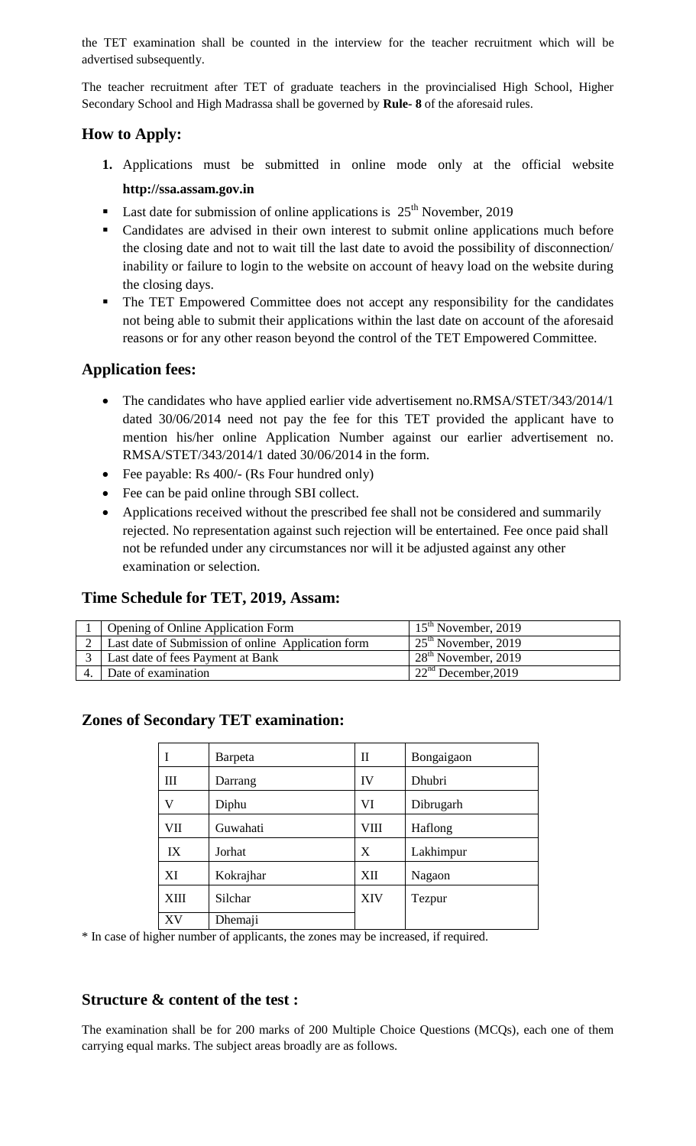the TET examination shall be counted in the interview for the teacher recruitment which will be advertised subsequently.

The teacher recruitment after TET of graduate teachers in the provincialised High School, Higher Secondary School and High Madrassa shall be governed by **Rule- 8** of the aforesaid rules.

# **How to Apply:**

- **1.** Applications must be submitted in online mode only at the official website **http://ssa.assam.gov.in**
- **Last date for submission of online applications is**  $25<sup>th</sup>$  **November, 2019**
- Candidates are advised in their own interest to submit online applications much before the closing date and not to wait till the last date to avoid the possibility of disconnection/ inability or failure to login to the website on account of heavy load on the website during the closing days.
- The TET Empowered Committee does not accept any responsibility for the candidates not being able to submit their applications within the last date on account of the aforesaid reasons or for any other reason beyond the control of the TET Empowered Committee.

# **Application fees:**

- The candidates who have applied earlier vide advertisement no.RMSA/STET/343/2014/1 dated 30/06/2014 need not pay the fee for this TET provided the applicant have to mention his/her online Application Number against our earlier advertisement no. RMSA/STET/343/2014/1 dated 30/06/2014 in the form.
- Fee payable: Rs 400/- (Rs Four hundred only)
- Fee can be paid online through SBI collect.
- Applications received without the prescribed fee shall not be considered and summarily rejected. No representation against such rejection will be entertained. Fee once paid shall not be refunded under any circumstances nor will it be adjusted against any other examination or selection.

# **Time Schedule for TET, 2019, Assam:**

| Opening of Online Application Form                 | $15th$ November, 2019           |
|----------------------------------------------------|---------------------------------|
| Last date of Submission of online Application form | $25th$ November, 2019           |
| Last date of fees Payment at Bank                  | $128th$ November, 2019          |
| Date of examination                                | 22 <sup>nd</sup> December, 2019 |

# **Zones of Secondary TET examination:**

|      | Barpeta   | П          | Bongaigaon |
|------|-----------|------------|------------|
| Ш    | Darrang   | IV         | Dhubri     |
| V    | Diphu     | VI         | Dibrugarh  |
| VII  | Guwahati  | VIII       | Haflong    |
| IX   | Jorhat    | X          | Lakhimpur  |
| XI   | Kokrajhar | XII        | Nagaon     |
| XIII | Silchar   | <b>XIV</b> | Tezpur     |
| XV   | Dhemaji   |            |            |

\* In case of higher number of applicants, the zones may be increased, if required.

# **Structure & content of the test :**

The examination shall be for 200 marks of 200 Multiple Choice Questions (MCQs), each one of them carrying equal marks. The subject areas broadly are as follows.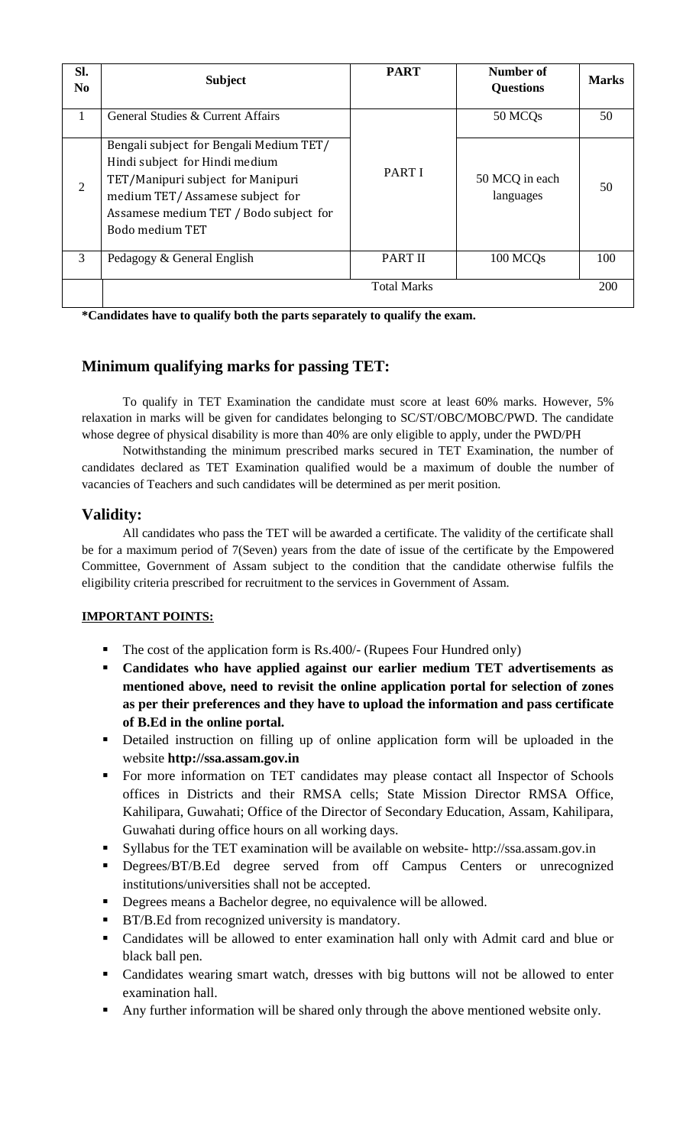| Sl.<br>N <sub>0</sub> | <b>Subject</b>                                                                                                                                                                                                 | <b>PART</b>        | Number of<br><b>Questions</b> | <b>Marks</b> |
|-----------------------|----------------------------------------------------------------------------------------------------------------------------------------------------------------------------------------------------------------|--------------------|-------------------------------|--------------|
| 1                     | General Studies & Current Affairs                                                                                                                                                                              |                    | 50 MCQ <sub>s</sub>           | 50           |
| $\overline{2}$        | Bengali subject for Bengali Medium TET/<br>Hindi subject for Hindi medium<br>TET/Manipuri subject for Manipuri<br>medium TET/Assamese subject for<br>Assamese medium TET / Bodo subject for<br>Bodo medium TFT | <b>PART I</b>      | 50 MCQ in each<br>languages   | 50           |
| 3                     | Pedagogy & General English                                                                                                                                                                                     | <b>PART II</b>     | 100 MCQs                      | 100          |
|                       |                                                                                                                                                                                                                | <b>Total Marks</b> |                               | 200          |

**\*Candidates have to qualify both the parts separately to qualify the exam.**

# **Minimum qualifying marks for passing TET:**

To qualify in TET Examination the candidate must score at least 60% marks. However, 5% relaxation in marks will be given for candidates belonging to SC/ST/OBC/MOBC/PWD. The candidate whose degree of physical disability is more than 40% are only eligible to apply, under the PWD/PH

Notwithstanding the minimum prescribed marks secured in TET Examination, the number of candidates declared as TET Examination qualified would be a maximum of double the number of vacancies of Teachers and such candidates will be determined as per merit position.

# **Validity:**

All candidates who pass the TET will be awarded a certificate. The validity of the certificate shall be for a maximum period of 7(Seven) years from the date of issue of the certificate by the Empowered Committee, Government of Assam subject to the condition that the candidate otherwise fulfils the eligibility criteria prescribed for recruitment to the services in Government of Assam.

# **IMPORTANT POINTS:**

- $\blacksquare$  The cost of the application form is Rs.400/- (Rupees Four Hundred only)
- **Candidates who have applied against our earlier medium TET advertisements as mentioned above, need to revisit the online application portal for selection of zones as per their preferences and they have to upload the information and pass certificate of B.Ed in the online portal.**
- Detailed instruction on filling up of online application form will be uploaded in the website **http://ssa.assam.gov.in**
- For more information on TET candidates may please contact all Inspector of Schools offices in Districts and their RMSA cells; State Mission Director RMSA Office, Kahilipara, Guwahati; Office of the Director of Secondary Education, Assam, Kahilipara, Guwahati during office hours on all working days.
- Syllabus for the TET examination will be available on website- http://ssa.assam.gov.in
- Degrees/BT/B.Ed degree served from off Campus Centers or unrecognized institutions/universities shall not be accepted.
- Degrees means a Bachelor degree, no equivalence will be allowed.
- **BT/B.Ed from recognized university is mandatory.**
- Candidates will be allowed to enter examination hall only with Admit card and blue or black ball pen.
- Candidates wearing smart watch, dresses with big buttons will not be allowed to enter examination hall.
- Any further information will be shared only through the above mentioned website only.